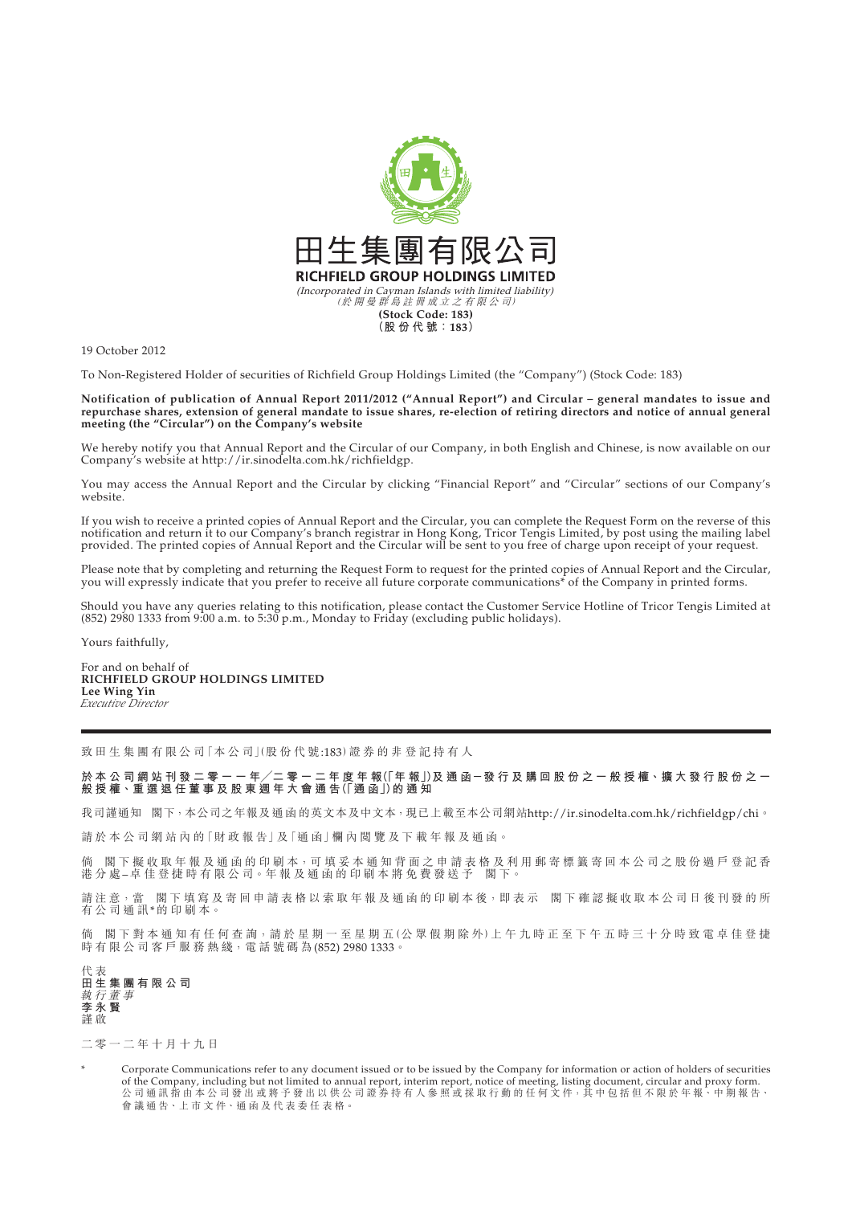

19 October 2012

To Non-Registered Holder of securities of Richfield Group Holdings Limited (the "Company") (Stock Code: 183)

**Notification of publication of Annual Report 2011/2012 ("Annual Report") and Circular – general mandates to issue and repurchase shares, extension of general mandate to issue shares, re-election of retiring directors and notice of annual general meeting (the "Circular") on the Company's website**

We hereby notify you that Annual Report and the Circular of our Company, in both English and Chinese, is now available on our Company's website at http://ir.sinodelta.com.hk/richfieldgp.

You may access the Annual Report and the Circular by clicking "Financial Report" and "Circular" sections of our Company's website.

If you wish to receive a printed copies of Annual Report and the Circular, you can complete the Request Form on the reverse of this notification and return it to our Company's branch registrar in Hong Kong, Tricor Tengis Limited, by post using the mailing label provided. The printed copies of Annual Report and the Circular will be sent to you free of charge upon receipt of your request.

Please note that by completing and returning the Request Form to request for the printed copies of Annual Report and the Circular, you will expressly indicate that you prefer to receive all future corporate communications\* of the Company in printed forms.

Should you have any queries relating to this notification, please contact the Customer Service Hotline of Tricor Tengis Limited at (852) 2980 1333 from 9:00 a.m. to 5:30 p.m., Monday to Friday (excluding public holidays).

Yours faithfully,

For and on behalf of **RICHFIELD GROUP HOLDINGS LIMITED Lee Wing Yin** *Executive Director*

致 田 生 集 團 有 限 公 司 「本 公 司 | (股 份 代 號:183) 證 券 的 非 登 記 持 有 人

於 本 公 司 網 站 刊 發 二 零 一 一 年/二 零 一 二 年 度 年 報(|年 報」)及 通 函 ─ 發 行 及 購 回 股 份 之 一 般 授 權 <sup>、</sup>擴 大 發 行 股 份 之 一 **般 授 權、重 選 退 任 董 事 及 股 東 週 年 大 會 通 告(「通 函」)的通知**

我司謹通知 閣下,本公司之年報及通函的英文本及中文本,現已上載至本公司網站http://ir.sinodelta.com.hk/richfieldgp/chi。

請於本公司網站內的「財政報告」及「通函」欄內閱覽及下載年報及通函。

倘 閣下 擬收 取 年 報 及 通 函 的 印 刷 本,可 填 妥 本 通 知 背 面 之 申 請 表 格 及 利 用 郵 寄 標 籤 寄 回 本 公 司 之 股 份 過 尸 登 記 香 港 分 處 – 卓 佳 登 捷 時 有 限 公 司。年 報 及 通 函 的 印 刷 本 將 免 費 發 送 予 閣 下。

請注意,當 閣下填寫及寄回申請表格以索取年報及通函的印刷本後,即表示 閣下確認擬收取本公司日後刊發的所 有公司通訊\*的 印 刷 本。

倘 閣 下 對 本 通 知 有 任 何 査 詢,請 於 星 期 一 至 星 期 五 (公 眾 假 期 除 外)上 午 九 時 正 至 下 午 五 時 三 十 分 時 致 電 卓 佳 登 捷 時 有 限 公 司 客 戶 服 務 熱 綫, 電 話 號 碼 為 (852) 2980 1333。

代 表 **田生集團有限公司** 執行董事 **李永賢** 謹 啟

二零一二年十月十九日

Corporate Communications refer to any document issued or to be issued by the Company for information or action of holders of securities of the Company, including but not limited to annual report, interim report, notice of meeting, listing document, circular and proxy form. 公司通訊指由本公司發出或將予發出以供公司證券持有人參照或採取行動的任何文件,其中包括但不限於年報、中期報告、 會 議 通 告、上 市 文 件、通 函 及 代 表 委 任 表 格。